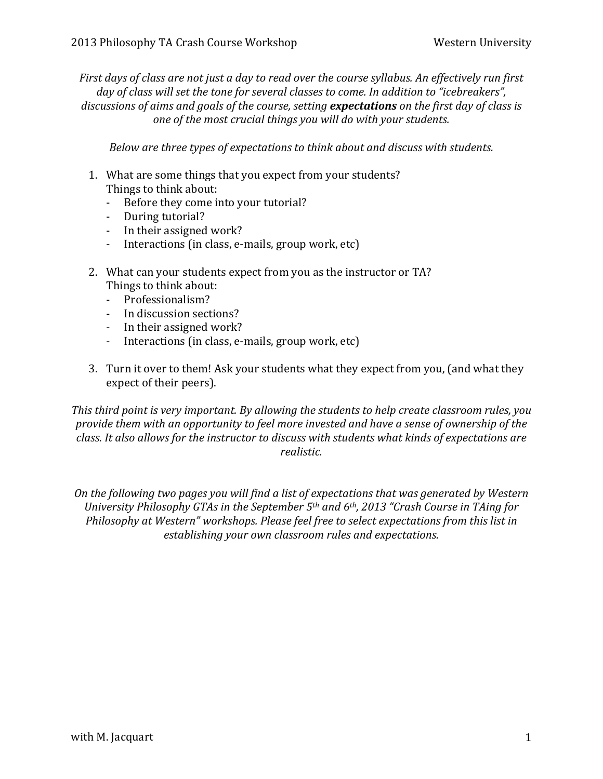*First days of class are not just a day to read over the course syllabus. An effectively run first* day of class will set the tone for several classes to come. In addition to "icebreakers", discussions of aims and goals of the course, setting **expectations** on the first day of class is *one of the most crucial things you will do with your students.* 

*Below are three types of expectations to think about and discuss with students.* 

- 1. What are some things that you expect from your students? Things to think about:
	- Before they come into your tutorial?
	- During tutorial?
	- In their assigned work?
	- Interactions (in class, e-mails, group work, etc)
- 2. What can your students expect from you as the instructor or TA? Things to think about:
	- Professionalism?
	- In discussion sections?
	- In their assigned work?
	- Interactions (in class, e-mails, group work, etc)
- 3. Turn it over to them! Ask your students what they expect from you, (and what they expect of their peers).

This third point is very important. By allowing the students to help create classroom rules, you *provide them with an opportunity to feel more invested and have a sense of ownership of the* class. It also allows for the instructor to discuss with students what kinds of expectations are *realistic.*

*On the following two pages you will find a list of expectations that was generated by Western University Philosophy GTAs in the September 5<sup>th</sup> and 6<sup>th</sup>, 2013 "Crash Course in TAing for Philosophy at Western"* workshops. Please feel free to select expectations from this list in establishing your own classroom rules and expectations.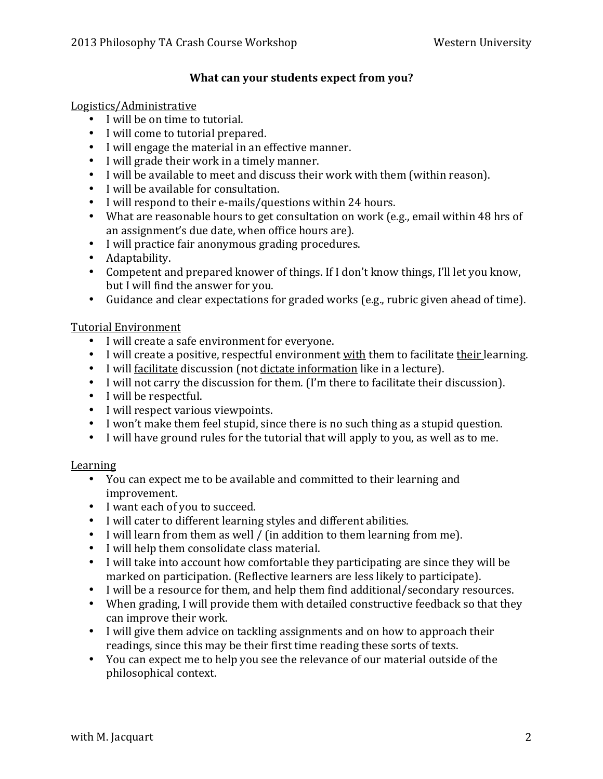# **What can your students expect from you?**

### Logistics/Administrative

- I will be on time to tutorial.
- I will come to tutorial prepared.
- I will engage the material in an effective manner.
- I will grade their work in a timely manner.
- I will be available to meet and discuss their work with them (within reason).
- I will be available for consultation.
- I will respond to their e-mails/questions within 24 hours.
- What are reasonable hours to get consultation on work (e.g., email within 48 hrs of an assignment's due date, when office hours are).
- I will practice fair anonymous grading procedures.
- Adaptability.
- Competent and prepared knower of things. If I don't know things, I'll let you know, but I will find the answer for you.
- Guidance and clear expectations for graded works (e.g., rubric given ahead of time).

### Tutorial Environment

- I will create a safe environment for everyone.
- I will create a positive, respectful environment with them to facilitate their learning.
- I will facilitate discussion (not dictate information like in a lecture).
- I will not carry the discussion for them. (I'm there to facilitate their discussion).
- I will be respectful.
- I will respect various viewpoints.
- I won't make them feel stupid, since there is no such thing as a stupid question.
- I will have ground rules for the tutorial that will apply to you, as well as to me.

# Learning

- You can expect me to be available and committed to their learning and improvement.
- I want each of you to succeed.
- I will cater to different learning styles and different abilities.
- I will learn from them as well / (in addition to them learning from me).
- I will help them consolidate class material.
- I will take into account how comfortable they participating are since they will be marked on participation. (Reflective learners are less likely to participate).
- I will be a resource for them, and help them find additional/secondary resources.
- When grading, I will provide them with detailed constructive feedback so that they can improve their work.
- I will give them advice on tackling assignments and on how to approach their readings, since this may be their first time reading these sorts of texts.
- You can expect me to help you see the relevance of our material outside of the philosophical context.